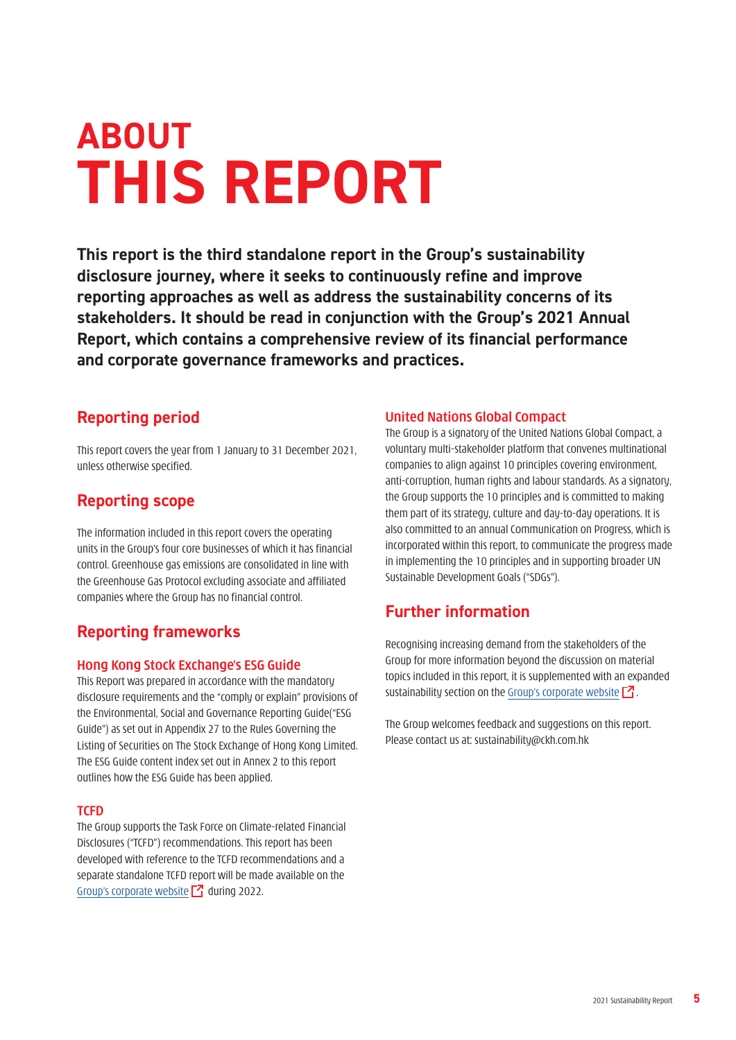# **ABOUT THIS REPORT**

**This report is the third standalone report in the Group's sustainability disclosure journey, where it seeks to continuously refine and improve reporting approaches as well as address the sustainability concerns of its stakeholders. It should be read in conjunction with the Group's 2021 Annual Report, which contains a comprehensive review of its financial performance and corporate governance frameworks and practices.**

### **Reporting period**

This report covers the year from 1 January to 31 December 2021, unless otherwise specified.

## **Reporting scope**

The information included in this report covers the operating units in the Group's four core businesses of which it has financial control. Greenhouse gas emissions are consolidated in line with the Greenhouse Gas Protocol excluding associate and affiliated companies where the Group has no financial control.

## **Reporting frameworks**

#### **Hong Kong Stock Exchange's ESG Guide**

This Report was prepared in accordance with the mandatory disclosure requirements and the "comply or explain" provisions of the Environmental, Social and Governance Reporting Guide("ESG Guide") as set out in Appendix 27 to the Rules Governing the Listing of Securities on The Stock Exchange of Hong Kong Limited. The ESG Guide content index set out in Annex 2 to this report outlines how the ESG Guide has been applied.

#### **TCFD**

The Group supports the Task Force on Climate-related Financial Disclosures ("TCFD") recommendations. This report has been developed with reference to the TCFD recommendations and a separate standalone TCFD report will be made available on the [Group's corporate website](http://www.ckh.com.hk)  $\boxed{7}$  during 2022.

#### **United Nations Global Compact**

The Group is a signatory of the United Nations Global Compact, a voluntary multi-stakeholder platform that convenes multinational companies to align against 10 principles covering environment, anti-corruption, human rights and labour standards. As a signatory, the Group supports the 10 principles and is committed to making them part of its strategy, culture and day-to-day operations. It is also committed to an annual Communication on Progress, which is incorporated within this report, to communicate the progress made in implementing the 10 principles and in supporting broader UN Sustainable Development Goals ("SDGs").

## **Further information**

Recognising increasing demand from the stakeholders of the Group for more information beyond the discussion on material topics included in this report, it is supplemented with an expanded sustainability section on the Group's corporate website  $\mathbb{Z}$ .

The Group welcomes feedback and suggestions on this report. Please contact us at: sustainability@ckh.com.hk